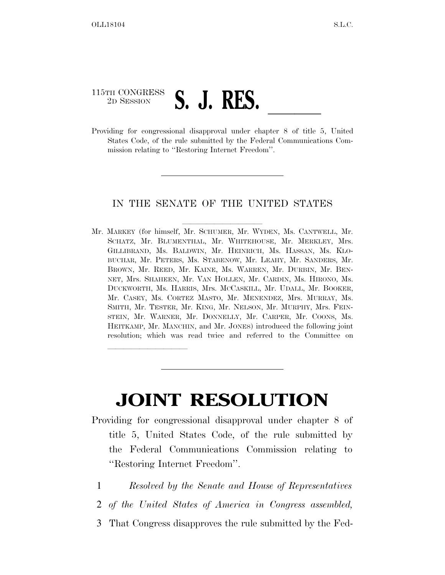## 115TH CONGRESS 2D SESSION **S.** J. **KES.** <u>Conservational</u> disapproval under chapter 8 of title 5, United

lla se al constituir a la constituir a la constituir a la constituir a la constituir a la constituir a la cons<br>La constituir a la constituir a la constituir a la constituir a la constituir a la constituir a la constituir

States Code, of the rule submitted by the Federal Communications Commission relating to ''Restoring Internet Freedom''.

## IN THE SENATE OF THE UNITED STATES

Mr. MARKEY (for himself, Mr. SCHUMER, Mr. WYDEN, Ms. CANTWELL, Mr. SCHATZ, Mr. BLUMENTHAL, Mr. WHITEHOUSE, Mr. MERKLEY, Mrs. GILLIBRAND, Ms. BALDWIN, Mr. HEINRICH, Ms. HASSAN, Ms. KLO-BUCHAR, Mr. PETERS, Ms. STABENOW, Mr. LEAHY, Mr. SANDERS, Mr. BROWN, Mr. REED, Mr. KAINE, Ms. WARREN, Mr. DURBIN, Mr. BEN-NET, Mrs. SHAHEEN, Mr. VAN HOLLEN, Mr. CARDIN, Ms. HIRONO, Ms. DUCKWORTH, Ms. HARRIS, Mrs. MCCASKILL, Mr. UDALL, Mr. BOOKER, Mr. CASEY, Ms. CORTEZ MASTO, Mr. MENENDEZ, Mrs. MURRAY, Ms. SMITH, Mr. TESTER, Mr. KING, Mr. NELSON, Mr. MURPHY, Mrs. FEIN-STEIN, Mr. WARNER, Mr. DONNELLY, Mr. CARPER, Mr. COONS, Ms. HEITKAMP, Mr. MANCHIN, and Mr. JONES) introduced the following joint resolution; which was read twice and referred to the Committee on

## **JOINT RESOLUTION**

- Providing for congressional disapproval under chapter 8 of title 5, United States Code, of the rule submitted by the Federal Communications Commission relating to ''Restoring Internet Freedom''.
	- 1 *Resolved by the Senate and House of Representatives*
	- 2 *of the United States of America in Congress assembled,*
	- 3 That Congress disapproves the rule submitted by the Fed-